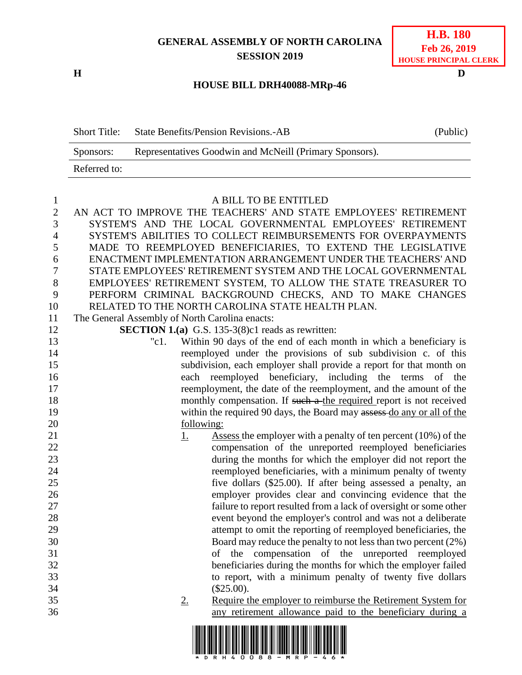## **GENERAL ASSEMBLY OF NORTH CAROLINA SESSION 2019**

**H D**

| <b>H.B. 180</b>              |
|------------------------------|
| Feb 26, 2019                 |
| <b>HOUSE PRINCIPAL CLERK</b> |

### **HOUSE BILL DRH40088-MRp-46**

Short Title: State Benefits/Pension Revisions.-AB (Public) Sponsors: Representatives Goodwin and McNeill (Primary Sponsors). Referred to:

1 A BILL TO BE ENTITLED<br>2 AN ACT TO IMPROVE THE TEACHERS' AND STATE AN ACT TO IMPROVE THE TEACHERS' AND STATE EMPLOYEES' RETIREMENT SYSTEM'S AND THE LOCAL GOVERNMENTAL EMPLOYEES' RETIREMENT SYSTEM'S ABILITIES TO COLLECT REIMBURSEMENTS FOR OVERPAYMENTS MADE TO REEMPLOYED BENEFICIARIES, TO EXTEND THE LEGISLATIVE ENACTMENT IMPLEMENTATION ARRANGEMENT UNDER THE TEACHERS' AND STATE EMPLOYEES' RETIREMENT SYSTEM AND THE LOCAL GOVERNMENTAL EMPLOYEES' RETIREMENT SYSTEM, TO ALLOW THE STATE TREASURER TO PERFORM CRIMINAL BACKGROUND CHECKS, AND TO MAKE CHANGES RELATED TO THE NORTH CAROLINA STATE HEALTH PLAN. The General Assembly of North Carolina enacts: **SECTION 1.(a)** G.S. 135-3(8)c1 reads as rewritten: "c1. Within 90 days of the end of each month in which a beneficiary is reemployed under the provisions of sub subdivision c. of this subdivision, each employer shall provide a report for that month on each reemployed beneficiary, including the terms of the reemployment, the date of the reemployment, and the amount of the 18 monthly compensation. If such a the required report is not received 19 within the required 90 days, the Board may assess do any or all of the 20 following: 21 1. Assess the employer with a penalty of ten percent (10%) of the compensation of the unreported reemployed beneficiaries during the months for which the employer did not report the reemployed beneficiaries, with a minimum penalty of twenty five dollars (\$25.00). If after being assessed a penalty, an employer provides clear and convincing evidence that the failure to report resulted from a lack of oversight or some other event beyond the employer's control and was not a deliberate attempt to omit the reporting of reemployed beneficiaries, the Board may reduce the penalty to not less than two percent (2%) of the compensation of the unreported reemployed beneficiaries during the months for which the employer failed to report, with a minimum penalty of twenty five dollars (\$25.00). 2. Require the employer to reimburse the Retirement System for any retirement allowance paid to the beneficiary during a

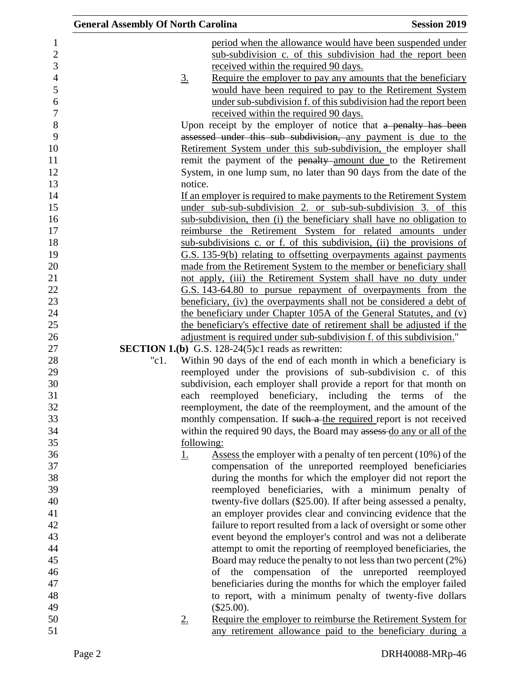| <b>General Assembly Of North Carolina</b> |                                                              | <b>Session 2019</b>                                                         |
|-------------------------------------------|--------------------------------------------------------------|-----------------------------------------------------------------------------|
|                                           |                                                              | period when the allowance would have been suspended under                   |
|                                           |                                                              | sub-subdivision c. of this subdivision had the report been                  |
|                                           | received within the required 90 days.                        |                                                                             |
| $\underline{3}$ .                         |                                                              | Require the employer to pay any amounts that the beneficiary                |
|                                           |                                                              | would have been required to pay to the Retirement System                    |
|                                           |                                                              | under sub-subdivision f. of this subdivision had the report been            |
|                                           | received within the required 90 days.                        |                                                                             |
|                                           |                                                              | Upon receipt by the employer of notice that a penalty has been              |
|                                           |                                                              | assessed under this sub subdivision, any payment is due to the              |
|                                           |                                                              | Retirement System under this sub-subdivision, the employer shall            |
|                                           |                                                              | remit the payment of the penalty-amount due to the Retirement               |
|                                           |                                                              | System, in one lump sum, no later than 90 days from the date of the         |
| notice.                                   |                                                              |                                                                             |
|                                           |                                                              | If an employer is required to make payments to the Retirement System        |
|                                           |                                                              | under sub-sub-subdivision 2. or sub-sub-subdivision 3. of this              |
|                                           |                                                              | sub-subdivision, then (i) the beneficiary shall have no obligation to       |
|                                           |                                                              | reimburse the Retirement System for related amounts under                   |
|                                           |                                                              | sub-subdivisions c. or f. of this subdivision, (ii) the provisions of       |
|                                           |                                                              | G.S. 135-9(b) relating to offsetting overpayments against payments          |
|                                           |                                                              | made from the Retirement System to the member or beneficiary shall          |
|                                           |                                                              | not apply, (iii) the Retirement System shall have no duty under             |
|                                           |                                                              | G.S. 143-64.80 to pursue repayment of overpayments from the                 |
|                                           |                                                              | <u>beneficiary, (iv) the overpayments shall not be considered a debt of</u> |
|                                           |                                                              | the beneficiary under Chapter 105A of the General Statutes, and (v)         |
|                                           |                                                              | the beneficiary's effective date of retirement shall be adjusted if the     |
|                                           |                                                              | adjustment is required under sub-subdivision f. of this subdivision."       |
|                                           | <b>SECTION 1.(b)</b> G.S. 128-24(5) $c1$ reads as rewritten: |                                                                             |
| "c1.                                      |                                                              | Within 90 days of the end of each month in which a beneficiary is           |
|                                           |                                                              | reemployed under the provisions of sub-subdivision c. of this               |
|                                           |                                                              | subdivision, each employer shall provide a report for that month on         |
|                                           | each reemployed beneficiary, including the terms             | of the                                                                      |
|                                           |                                                              | reemployment, the date of the reemployment, and the amount of the           |
|                                           |                                                              | monthly compensation. If such a the required report is not received         |
|                                           |                                                              | within the required 90 days, the Board may assess do any or all of the      |
| following:                                |                                                              |                                                                             |
| <u>1.</u>                                 |                                                              | Assess the employer with a penalty of ten percent $(10\%)$ of the           |
|                                           |                                                              | compensation of the unreported reemployed beneficiaries                     |
|                                           |                                                              | during the months for which the employer did not report the                 |
|                                           |                                                              | reemployed beneficiaries, with a minimum penalty of                         |
|                                           |                                                              | twenty-five dollars (\$25.00). If after being assessed a penalty,           |
|                                           |                                                              | an employer provides clear and convincing evidence that the                 |
|                                           |                                                              | failure to report resulted from a lack of oversight or some other           |
|                                           |                                                              | event beyond the employer's control and was not a deliberate                |
|                                           |                                                              | attempt to omit the reporting of reemployed beneficiaries, the              |
|                                           |                                                              | Board may reduce the penalty to not less than two percent (2%)              |
|                                           |                                                              | of the compensation of the unreported reemployed                            |
|                                           |                                                              | beneficiaries during the months for which the employer failed               |
|                                           |                                                              | to report, with a minimum penalty of twenty-five dollars                    |
|                                           | $(\$25.00).$                                                 |                                                                             |
| 2.                                        |                                                              | Require the employer to reimburse the Retirement System for                 |
|                                           |                                                              | any retirement allowance paid to the beneficiary during a                   |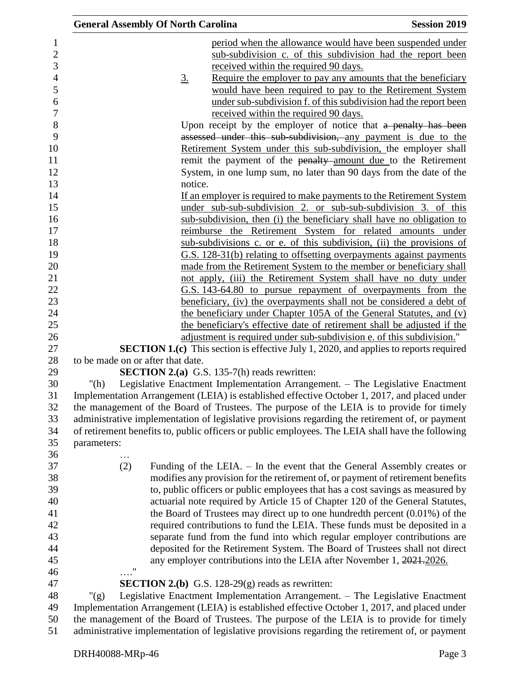| <b>General Assembly Of North Carolina</b> |                                                            | <b>Session 2019</b>                                                                               |
|-------------------------------------------|------------------------------------------------------------|---------------------------------------------------------------------------------------------------|
|                                           |                                                            | period when the allowance would have been suspended under                                         |
|                                           |                                                            | sub-subdivision c. of this subdivision had the report been                                        |
|                                           | received within the required 90 days.                      |                                                                                                   |
| <u>3.</u>                                 |                                                            | Require the employer to pay any amounts that the beneficiary                                      |
|                                           |                                                            | would have been required to pay to the Retirement System                                          |
|                                           |                                                            | under sub-subdivision f. of this subdivision had the report been                                  |
|                                           | received within the required 90 days.                      |                                                                                                   |
|                                           |                                                            | Upon receipt by the employer of notice that a penalty has been                                    |
|                                           |                                                            | assessed under this sub-subdivision, any payment is due to the                                    |
|                                           |                                                            | Retirement System under this sub-subdivision, the employer shall                                  |
|                                           |                                                            | remit the payment of the penalty-amount due to the Retirement                                     |
|                                           |                                                            | System, in one lump sum, no later than 90 days from the date of the                               |
| notice.                                   |                                                            |                                                                                                   |
|                                           |                                                            | If an employer is required to make payments to the Retirement System                              |
|                                           |                                                            | under sub-sub-subdivision 2. or sub-sub-subdivision 3. of this                                    |
|                                           |                                                            | sub-subdivision, then (i) the beneficiary shall have no obligation to                             |
|                                           |                                                            | reimburse the Retirement System for related amounts under                                         |
|                                           |                                                            | sub-subdivisions c. or e. of this subdivision, (ii) the provisions of                             |
|                                           |                                                            | G.S. 128-31(b) relating to offsetting overpayments against payments                               |
|                                           |                                                            | made from the Retirement System to the member or beneficiary shall                                |
|                                           |                                                            | not apply, (iii) the Retirement System shall have no duty under                                   |
|                                           |                                                            | G.S. 143-64.80 to pursue repayment of overpayments from the                                       |
|                                           |                                                            | <u>beneficiary, (iv) the overpayments shall not be considered a debt of</u>                       |
|                                           |                                                            | the beneficiary under Chapter 105A of the General Statutes, and (v)                               |
|                                           |                                                            | the beneficiary's effective date of retirement shall be adjusted if the                           |
|                                           |                                                            | adjustment is required under sub-subdivision e. of this subdivision."                             |
|                                           |                                                            | <b>SECTION 1.(c)</b> This section is effective July 1, 2020, and applies to reports required      |
| to be made on or after that date.         |                                                            |                                                                                                   |
|                                           | <b>SECTION 2.(a)</b> G.S. 135-7(h) reads rewritten:        |                                                                                                   |
| " $(h)$                                   |                                                            | Legislative Enactment Implementation Arrangement. - The Legislative Enactment                     |
|                                           |                                                            | Implementation Arrangement (LEIA) is established effective October 1, 2017, and placed under      |
|                                           |                                                            | the management of the Board of Trustees. The purpose of the LEIA is to provide for timely         |
|                                           |                                                            | administrative implementation of legislative provisions regarding the retirement of, or payment   |
|                                           |                                                            | of retirement benefits to, public officers or public employees. The LEIA shall have the following |
| parameters:                               |                                                            |                                                                                                   |
|                                           |                                                            |                                                                                                   |
| (2)                                       |                                                            | Funding of the LEIA. – In the event that the General Assembly creates or                          |
|                                           |                                                            | modifies any provision for the retirement of, or payment of retirement benefits                   |
|                                           |                                                            | to, public officers or public employees that has a cost savings as measured by                    |
|                                           |                                                            | actuarial note required by Article 15 of Chapter 120 of the General Statutes,                     |
|                                           |                                                            | the Board of Trustees may direct up to one hundredth percent $(0.01\%)$ of the                    |
|                                           |                                                            | required contributions to fund the LEIA. These funds must be deposited in a                       |
|                                           |                                                            | separate fund from the fund into which regular employer contributions are                         |
|                                           |                                                            | deposited for the Retirement System. The Board of Trustees shall not direct                       |
|                                           |                                                            | any employer contributions into the LEIA after November 1, 2021-2026.                             |
| $\cdots$ ."                               |                                                            |                                                                                                   |
|                                           | <b>SECTION 2.(b)</b> G.S. 128-29 $(g)$ reads as rewritten: |                                                                                                   |
| " $(g)$                                   |                                                            | Legislative Enactment Implementation Arrangement. - The Legislative Enactment                     |
|                                           |                                                            | Implementation Arrangement (LEIA) is established effective October 1, 2017, and placed under      |
|                                           |                                                            | the management of the Board of Trustees. The purpose of the LEIA is to provide for timely         |
|                                           |                                                            | administrative implementation of legislative provisions regarding the retirement of, or payment   |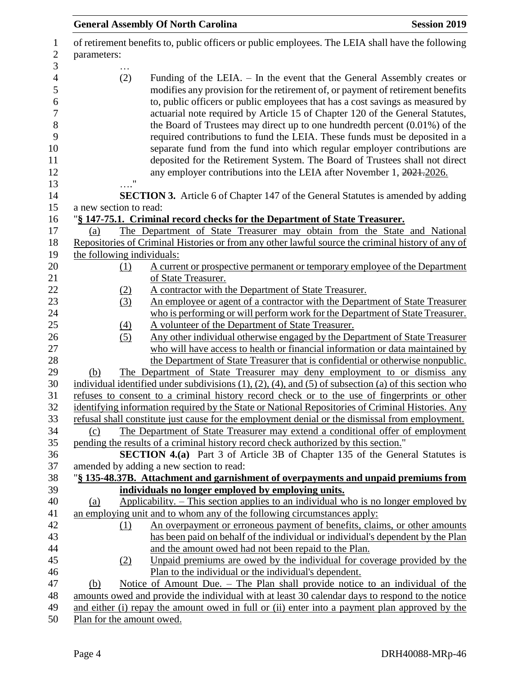|                            | <b>General Assembly Of North Carolina</b><br><b>Session 2019</b>                                                                                                                                                                                                                                                                                                                                                                                                                                                                                                                                                                                                                                                                     |
|----------------------------|--------------------------------------------------------------------------------------------------------------------------------------------------------------------------------------------------------------------------------------------------------------------------------------------------------------------------------------------------------------------------------------------------------------------------------------------------------------------------------------------------------------------------------------------------------------------------------------------------------------------------------------------------------------------------------------------------------------------------------------|
| parameters:                | of retirement benefits to, public officers or public employees. The LEIA shall have the following                                                                                                                                                                                                                                                                                                                                                                                                                                                                                                                                                                                                                                    |
| (2)                        | Funding of the LEIA. – In the event that the General Assembly creates or<br>modifies any provision for the retirement of, or payment of retirement benefits<br>to, public officers or public employees that has a cost savings as measured by<br>actuarial note required by Article 15 of Chapter 120 of the General Statutes,<br>the Board of Trustees may direct up to one hundredth percent $(0.01\%)$ of the<br>required contributions to fund the LEIA. These funds must be deposited in a<br>separate fund from the fund into which regular employer contributions are<br>deposited for the Retirement System. The Board of Trustees shall not direct<br>any employer contributions into the LEIA after November 1, 2021-2026. |
| $\pmb{\mathsf{H}}$         | <b>SECTION 3.</b> Article 6 of Chapter 147 of the General Statutes is amended by adding                                                                                                                                                                                                                                                                                                                                                                                                                                                                                                                                                                                                                                              |
| a new section to read:     |                                                                                                                                                                                                                                                                                                                                                                                                                                                                                                                                                                                                                                                                                                                                      |
|                            | "§ 147-75.1. Criminal record checks for the Department of State Treasurer.                                                                                                                                                                                                                                                                                                                                                                                                                                                                                                                                                                                                                                                           |
| (a)                        | The Department of State Treasurer may obtain from the State and National                                                                                                                                                                                                                                                                                                                                                                                                                                                                                                                                                                                                                                                             |
|                            | Repositories of Criminal Histories or from any other lawful source the criminal history of any of                                                                                                                                                                                                                                                                                                                                                                                                                                                                                                                                                                                                                                    |
| the following individuals: |                                                                                                                                                                                                                                                                                                                                                                                                                                                                                                                                                                                                                                                                                                                                      |
| (1)                        | A current or prospective permanent or temporary employee of the Department                                                                                                                                                                                                                                                                                                                                                                                                                                                                                                                                                                                                                                                           |
|                            | of State Treasurer.                                                                                                                                                                                                                                                                                                                                                                                                                                                                                                                                                                                                                                                                                                                  |
| (2)                        | A contractor with the Department of State Treasurer.                                                                                                                                                                                                                                                                                                                                                                                                                                                                                                                                                                                                                                                                                 |
| (3)                        | An employee or agent of a contractor with the Department of State Treasurer                                                                                                                                                                                                                                                                                                                                                                                                                                                                                                                                                                                                                                                          |
|                            | who is performing or will perform work for the Department of State Treasurer.                                                                                                                                                                                                                                                                                                                                                                                                                                                                                                                                                                                                                                                        |
| $\left(4\right)$<br>(5)    | A volunteer of the Department of State Treasurer.<br>Any other individual otherwise engaged by the Department of State Treasurer                                                                                                                                                                                                                                                                                                                                                                                                                                                                                                                                                                                                     |
|                            | who will have access to health or financial information or data maintained by                                                                                                                                                                                                                                                                                                                                                                                                                                                                                                                                                                                                                                                        |
|                            | the Department of State Treasurer that is confidential or otherwise nonpublic.                                                                                                                                                                                                                                                                                                                                                                                                                                                                                                                                                                                                                                                       |
| (b)                        | The Department of State Treasurer may deny employment to or dismiss any                                                                                                                                                                                                                                                                                                                                                                                                                                                                                                                                                                                                                                                              |
|                            | individual identified under subdivisions $(1)$ , $(2)$ , $(4)$ , and $(5)$ of subsection $(a)$ of this section who                                                                                                                                                                                                                                                                                                                                                                                                                                                                                                                                                                                                                   |
|                            | refuses to consent to a criminal history record check or to the use of fingerprints or other                                                                                                                                                                                                                                                                                                                                                                                                                                                                                                                                                                                                                                         |
|                            | identifying information required by the State or National Repositories of Criminal Histories. Any                                                                                                                                                                                                                                                                                                                                                                                                                                                                                                                                                                                                                                    |
|                            | refusal shall constitute just cause for the employment denial or the dismissal from employment.                                                                                                                                                                                                                                                                                                                                                                                                                                                                                                                                                                                                                                      |
| (c)                        | The Department of State Treasurer may extend a conditional offer of employment                                                                                                                                                                                                                                                                                                                                                                                                                                                                                                                                                                                                                                                       |
|                            | pending the results of a criminal history record check authorized by this section."                                                                                                                                                                                                                                                                                                                                                                                                                                                                                                                                                                                                                                                  |
|                            | <b>SECTION 4.(a)</b> Part 3 of Article 3B of Chapter 135 of the General Statutes is                                                                                                                                                                                                                                                                                                                                                                                                                                                                                                                                                                                                                                                  |
|                            | amended by adding a new section to read:                                                                                                                                                                                                                                                                                                                                                                                                                                                                                                                                                                                                                                                                                             |
|                            | "§ 135-48.37B. Attachment and garnishment of overpayments and unpaid premiums from                                                                                                                                                                                                                                                                                                                                                                                                                                                                                                                                                                                                                                                   |
|                            | individuals no longer employed by employing units.                                                                                                                                                                                                                                                                                                                                                                                                                                                                                                                                                                                                                                                                                   |
| (a)                        | Applicability. – This section applies to an individual who is no longer employed by                                                                                                                                                                                                                                                                                                                                                                                                                                                                                                                                                                                                                                                  |
|                            | an employing unit and to whom any of the following circumstances apply:                                                                                                                                                                                                                                                                                                                                                                                                                                                                                                                                                                                                                                                              |
| (1)                        | An overpayment or erroneous payment of benefits, claims, or other amounts<br>has been paid on behalf of the individual or individual's dependent by the Plan                                                                                                                                                                                                                                                                                                                                                                                                                                                                                                                                                                         |
|                            | and the amount owed had not been repaid to the Plan.                                                                                                                                                                                                                                                                                                                                                                                                                                                                                                                                                                                                                                                                                 |
| (2)                        | Unpaid premiums are owed by the individual for coverage provided by the                                                                                                                                                                                                                                                                                                                                                                                                                                                                                                                                                                                                                                                              |
|                            | Plan to the individual or the individual's dependent.                                                                                                                                                                                                                                                                                                                                                                                                                                                                                                                                                                                                                                                                                |
| (b)                        | Notice of Amount Due. – The Plan shall provide notice to an individual of the                                                                                                                                                                                                                                                                                                                                                                                                                                                                                                                                                                                                                                                        |
|                            | amounts owed and provide the individual with at least 30 calendar days to respond to the notice                                                                                                                                                                                                                                                                                                                                                                                                                                                                                                                                                                                                                                      |
|                            | and either (i) repay the amount owed in full or (ii) enter into a payment plan approved by the                                                                                                                                                                                                                                                                                                                                                                                                                                                                                                                                                                                                                                       |
| Plan for the amount owed.  |                                                                                                                                                                                                                                                                                                                                                                                                                                                                                                                                                                                                                                                                                                                                      |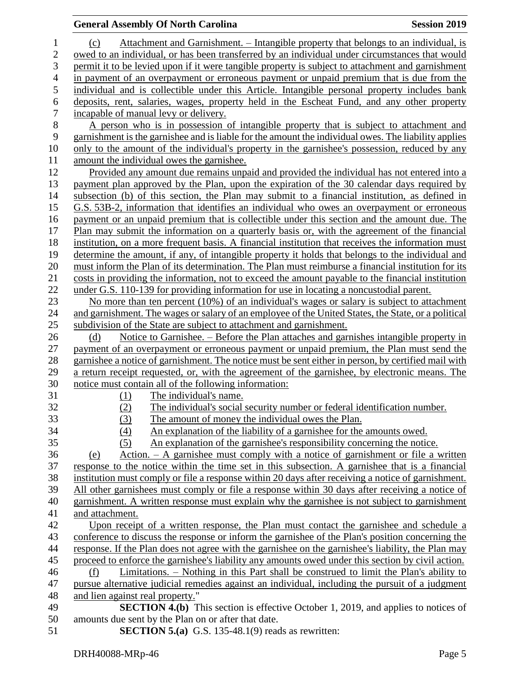#### **General Assembly Of North Carolina Session 2019**

 (c) Attachment and Garnishment. – Intangible property that belongs to an individual, is owed to an individual, or has been transferred by an individual under circumstances that would permit it to be levied upon if it were tangible property is subject to attachment and garnishment in payment of an overpayment or erroneous payment or unpaid premium that is due from the individual and is collectible under this Article. Intangible personal property includes bank deposits, rent, salaries, wages, property held in the Escheat Fund, and any other property incapable of manual levy or delivery. 8 A person who is in possession of intangible property that is subject to attachment and garnishment is the garnishee and is liable for the amount the individual owes. The liability applies garnishment is the garnishee and is liable for the amount the individual owes. The liability applies only to the amount of the individual's property in the garnishee's possession, reduced by any amount the individual owes the garnishee. Provided any amount due remains unpaid and provided the individual has not entered into a payment plan approved by the Plan, upon the expiration of the 30 calendar days required by subsection (b) of this section, the Plan may submit to a financial institution, as defined in G.S. 53B-2, information that identifies an individual who owes an overpayment or erroneous payment or an unpaid premium that is collectible under this section and the amount due. The Plan may submit the information on a quarterly basis or, with the agreement of the financial institution, on a more frequent basis. A financial institution that receives the information must determine the amount, if any, of intangible property it holds that belongs to the individual and must inform the Plan of its determination. The Plan must reimburse a financial institution for its costs in providing the information, not to exceed the amount payable to the financial institution under G.S. 110-139 for providing information for use in locating a noncustodial parent. No more than ten percent (10%) of an individual's wages or salary is subject to attachment and garnishment. The wages or salary of an employee of the United States, the State, or a political subdivision of the State are subject to attachment and garnishment. (d) Notice to Garnishee. – Before the Plan attaches and garnishes intangible property in payment of an overpayment or erroneous payment or unpaid premium, the Plan must send the garnishee a notice of garnishment. The notice must be sent either in person, by certified mail with a return receipt requested, or, with the agreement of the garnishee, by electronic means. The notice must contain all of the following information: (1) The individual's name. (2) The individual's social security number or federal identification number. (3) The amount of money the individual owes the Plan. (4) An explanation of the liability of a garnishee for the amounts owed. (5) An explanation of the garnishee's responsibility concerning the notice. (e) Action. – A garnishee must comply with a notice of garnishment or file a written response to the notice within the time set in this subsection. A garnishee that is a financial institution must comply or file a response within 20 days after receiving a notice of garnishment. All other garnishees must comply or file a response within 30 days after receiving a notice of garnishment. A written response must explain why the garnishee is not subject to garnishment and attachment. Upon receipt of a written response, the Plan must contact the garnishee and schedule a conference to discuss the response or inform the garnishee of the Plan's position concerning the response. If the Plan does not agree with the garnishee on the garnishee's liability, the Plan may proceed to enforce the garnishee's liability any amounts owed under this section by civil action. (f) Limitations. – Nothing in this Part shall be construed to limit the Plan's ability to pursue alternative judicial remedies against an individual, including the pursuit of a judgment and lien against real property." **SECTION 4.(b)** This section is effective October 1, 2019, and applies to notices of amounts due sent by the Plan on or after that date.

**SECTION 5.(a)** G.S. 135-48.1(9) reads as rewritten: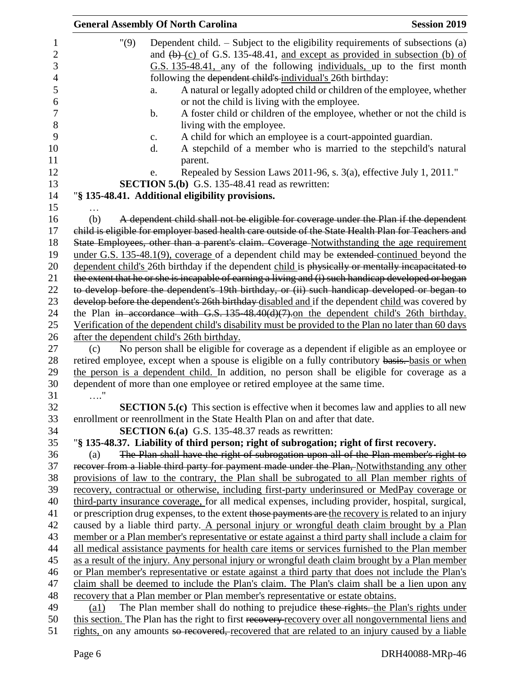|                    | <b>General Assembly Of North Carolina</b>                                                                                                                                                                                                               | <b>Session 2019</b>                                                                                                                                                                                                                                                                                                                                                                                                                                                                                                                                                                                                                                                                                                                                                                                   |
|--------------------|---------------------------------------------------------------------------------------------------------------------------------------------------------------------------------------------------------------------------------------------------------|-------------------------------------------------------------------------------------------------------------------------------------------------------------------------------------------------------------------------------------------------------------------------------------------------------------------------------------------------------------------------------------------------------------------------------------------------------------------------------------------------------------------------------------------------------------------------------------------------------------------------------------------------------------------------------------------------------------------------------------------------------------------------------------------------------|
| "(9)               | following the dependent child's individual's 26th birthday:<br>a.<br>or not the child is living with the employee.<br>$\mathbf b$ .<br>living with the employee.<br>c.<br>d.<br>parent.<br>e.<br><b>SECTION 5.(b)</b> G.S. 135-48.41 read as rewritten: | Dependent child. $-$ Subject to the eligibility requirements of subsections (a)<br>and $(b)$ (c) of G.S. 135-48.41, and except as provided in subsection (b) of<br>G.S. 135-48.41, any of the following individuals, up to the first month<br>A natural or legally adopted child or children of the employee, whether<br>A foster child or children of the employee, whether or not the child is<br>A child for which an employee is a court-appointed guardian.<br>A stepchild of a member who is married to the stepchild's natural<br>Repealed by Session Laws 2011-96, s. 3(a), effective July 1, 2011."                                                                                                                                                                                          |
|                    | "§ 135-48.41. Additional eligibility provisions.                                                                                                                                                                                                        |                                                                                                                                                                                                                                                                                                                                                                                                                                                                                                                                                                                                                                                                                                                                                                                                       |
|                    |                                                                                                                                                                                                                                                         |                                                                                                                                                                                                                                                                                                                                                                                                                                                                                                                                                                                                                                                                                                                                                                                                       |
| (b)                |                                                                                                                                                                                                                                                         | A dependent child shall not be eligible for coverage under the Plan if the dependent<br>child is eligible for employer based health care outside of the State Health Plan for Teachers and<br>State Employees, other than a parent's claim. Coverage Notwithstanding the age requirement<br>under G.S. 135-48.1(9), coverage of a dependent child may be extended continued beyond the<br>dependent child's 26th birthday if the dependent child is physically or mentally incapacitated to<br>the extent that he or she is incapable of earning a living and (i) such handicap developed or began<br>to develop before the dependent's 19th birthday, or (ii) such handicap developed or began to<br>develop before the dependent's 26th birthday disabled and if the dependent child was covered by |
|                    |                                                                                                                                                                                                                                                         | the Plan in accordance with G.S. 135-48.40(d)(7).on the dependent child's 26th birthday.                                                                                                                                                                                                                                                                                                                                                                                                                                                                                                                                                                                                                                                                                                              |
|                    |                                                                                                                                                                                                                                                         | Verification of the dependent child's disability must be provided to the Plan no later than 60 days                                                                                                                                                                                                                                                                                                                                                                                                                                                                                                                                                                                                                                                                                                   |
|                    | after the dependent child's 26th birthday.                                                                                                                                                                                                              |                                                                                                                                                                                                                                                                                                                                                                                                                                                                                                                                                                                                                                                                                                                                                                                                       |
| (c)                | dependent of more than one employee or retired employee at the same time.                                                                                                                                                                               | No person shall be eligible for coverage as a dependent if eligible as an employee or<br>retired employee, except when a spouse is eligible on a fully contributory basis. basis or when<br>the person is a dependent child. In addition, no person shall be eligible for coverage as a                                                                                                                                                                                                                                                                                                                                                                                                                                                                                                               |
| $\ldots$ "         |                                                                                                                                                                                                                                                         | <b>SECTION 5.(c)</b> This section is effective when it becomes law and applies to all new                                                                                                                                                                                                                                                                                                                                                                                                                                                                                                                                                                                                                                                                                                             |
|                    | enrollment or reenrollment in the State Health Plan on and after that date.<br><b>SECTION 6.(a)</b> G.S. 135-48.37 reads as rewritten:                                                                                                                  |                                                                                                                                                                                                                                                                                                                                                                                                                                                                                                                                                                                                                                                                                                                                                                                                       |
|                    | "§ 135-48.37. Liability of third person; right of subrogation; right of first recovery.                                                                                                                                                                 |                                                                                                                                                                                                                                                                                                                                                                                                                                                                                                                                                                                                                                                                                                                                                                                                       |
| (a)                |                                                                                                                                                                                                                                                         | The Plan shall have the right of subrogation upon all of the Plan member's right to                                                                                                                                                                                                                                                                                                                                                                                                                                                                                                                                                                                                                                                                                                                   |
|                    |                                                                                                                                                                                                                                                         | recover from a liable third party for payment made under the Plan, Notwithstanding any other                                                                                                                                                                                                                                                                                                                                                                                                                                                                                                                                                                                                                                                                                                          |
|                    |                                                                                                                                                                                                                                                         | provisions of law to the contrary, the Plan shall be subrogated to all Plan member rights of                                                                                                                                                                                                                                                                                                                                                                                                                                                                                                                                                                                                                                                                                                          |
|                    |                                                                                                                                                                                                                                                         | recovery, contractual or otherwise, including first-party underinsured or MedPay coverage or                                                                                                                                                                                                                                                                                                                                                                                                                                                                                                                                                                                                                                                                                                          |
|                    |                                                                                                                                                                                                                                                         | third-party insurance coverage, for all medical expenses, including provider, hospital, surgical,                                                                                                                                                                                                                                                                                                                                                                                                                                                                                                                                                                                                                                                                                                     |
|                    |                                                                                                                                                                                                                                                         | or prescription drug expenses, to the extent those payments are the recovery is related to an injury                                                                                                                                                                                                                                                                                                                                                                                                                                                                                                                                                                                                                                                                                                  |
|                    |                                                                                                                                                                                                                                                         | caused by a liable third party. A personal injury or wrongful death claim brought by a Plan                                                                                                                                                                                                                                                                                                                                                                                                                                                                                                                                                                                                                                                                                                           |
|                    |                                                                                                                                                                                                                                                         | member or a Plan member's representative or estate against a third party shall include a claim for                                                                                                                                                                                                                                                                                                                                                                                                                                                                                                                                                                                                                                                                                                    |
|                    |                                                                                                                                                                                                                                                         | all medical assistance payments for health care items or services furnished to the Plan member                                                                                                                                                                                                                                                                                                                                                                                                                                                                                                                                                                                                                                                                                                        |
|                    |                                                                                                                                                                                                                                                         | as a result of the injury. Any personal injury or wrongful death claim brought by a Plan member                                                                                                                                                                                                                                                                                                                                                                                                                                                                                                                                                                                                                                                                                                       |
|                    |                                                                                                                                                                                                                                                         | or Plan member's representative or estate against a third party that does not include the Plan's                                                                                                                                                                                                                                                                                                                                                                                                                                                                                                                                                                                                                                                                                                      |
|                    |                                                                                                                                                                                                                                                         | claim shall be deemed to include the Plan's claim. The Plan's claim shall be a lien upon any                                                                                                                                                                                                                                                                                                                                                                                                                                                                                                                                                                                                                                                                                                          |
|                    | recovery that a Plan member or Plan member's representative or estate obtains.                                                                                                                                                                          |                                                                                                                                                                                                                                                                                                                                                                                                                                                                                                                                                                                                                                                                                                                                                                                                       |
| $\left( a1\right)$ |                                                                                                                                                                                                                                                         | The Plan member shall do nothing to prejudice these rights the Plan's rights under                                                                                                                                                                                                                                                                                                                                                                                                                                                                                                                                                                                                                                                                                                                    |
|                    |                                                                                                                                                                                                                                                         | this section. The Plan has the right to first recovery recovery over all nongovernmental liens and                                                                                                                                                                                                                                                                                                                                                                                                                                                                                                                                                                                                                                                                                                    |
|                    | rights, on any amounts so recovered, recovered that are related to an injury caused by a liable                                                                                                                                                         |                                                                                                                                                                                                                                                                                                                                                                                                                                                                                                                                                                                                                                                                                                                                                                                                       |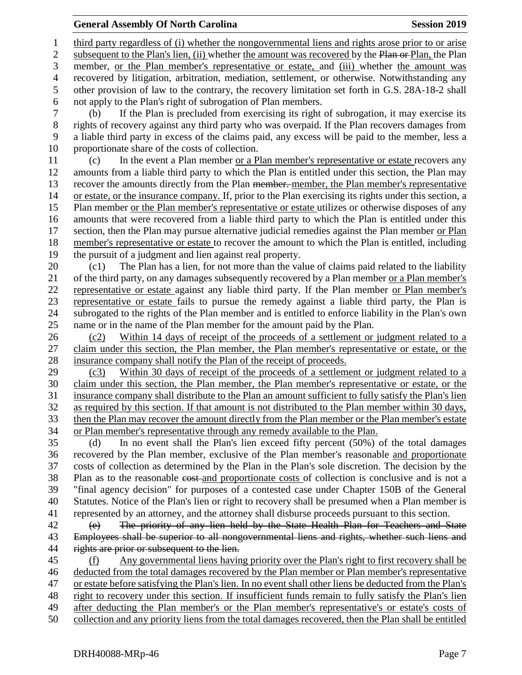### **General Assembly Of North Carolina Session 2019 Session 2019**

 third party regardless of (i) whether the nongovernmental liens and rights arose prior to or arise 2 subsequent to the Plan's lien, (ii) whether the amount was recovered by the Plan or Plan, the Plan member, or the Plan member's representative or estate, and (iii) whether the amount was recovered by litigation, arbitration, mediation, settlement, or otherwise. Notwithstanding any other provision of law to the contrary, the recovery limitation set forth in G.S. 28A-18-2 shall not apply to the Plan's right of subrogation of Plan members. (b) If the Plan is precluded from exercising its right of subrogation, it may exercise its rights of recovery against any third party who was overpaid. If the Plan recovers damages from a liable third party in excess of the claims paid, any excess will be paid to the member, less a proportionate share of the costs of collection. (c) In the event a Plan member or a Plan member's representative or estate recovers any amounts from a liable third party to which the Plan is entitled under this section, the Plan may 13 recover the amounts directly from the Plan <del>member.</del> member, the Plan member's representative or estate, or the insurance company. If, prior to the Plan exercising its rights under this section, a Plan member or the Plan member's representative or estate utilizes or otherwise disposes of any amounts that were recovered from a liable third party to which the Plan is entitled under this section, then the Plan may pursue alternative judicial remedies against the Plan member or Plan member's representative or estate to recover the amount to which the Plan is entitled, including the pursuit of a judgment and lien against real property. (c1) The Plan has a lien, for not more than the value of claims paid related to the liability of the third party, on any damages subsequently recovered by a Plan member or a Plan member's representative or estate against any liable third party. If the Plan member or Plan member's representative or estate fails to pursue the remedy against a liable third party, the Plan is subrogated to the rights of the Plan member and is entitled to enforce liability in the Plan's own name or in the name of the Plan member for the amount paid by the Plan. (c2) Within 14 days of receipt of the proceeds of a settlement or judgment related to a claim under this section, the Plan member, the Plan member's representative or estate, or the insurance company shall notify the Plan of the receipt of proceeds. (c3) Within 30 days of receipt of the proceeds of a settlement or judgment related to a claim under this section, the Plan member, the Plan member's representative or estate, or the insurance company shall distribute to the Plan an amount sufficient to fully satisfy the Plan's lien as required by this section. If that amount is not distributed to the Plan member within 30 days, then the Plan may recover the amount directly from the Plan member or the Plan member's estate or Plan member's representative through any remedy available to the Plan. (d) In no event shall the Plan's lien exceed fifty percent (50%) of the total damages recovered by the Plan member, exclusive of the Plan member's reasonable and proportionate costs of collection as determined by the Plan in the Plan's sole discretion. The decision by the 38 Plan as to the reasonable cost and proportionate costs of collection is conclusive and is not a "final agency decision" for purposes of a contested case under Chapter 150B of the General Statutes. Notice of the Plan's lien or right to recovery shall be presumed when a Plan member is represented by an attorney, and the attorney shall disburse proceeds pursuant to this section. (e) The priority of any lien held by the State Health Plan for Teachers and State Employees shall be superior to all nongovernmental liens and rights, whether such liens and 44 rights are prior or subsequent to the lien. (f) Any governmental liens having priority over the Plan's right to first recovery shall be deducted from the total damages recovered by the Plan member or Plan member's representative or estate before satisfying the Plan's lien. In no event shall other liens be deducted from the Plan's right to recovery under this section. If insufficient funds remain to fully satisfy the Plan's lien 49 after deducting the Plan member's or the Plan member's representative's or estate's costs of collection and any priority liens from the total damages recovered, then the Plan shall be entitled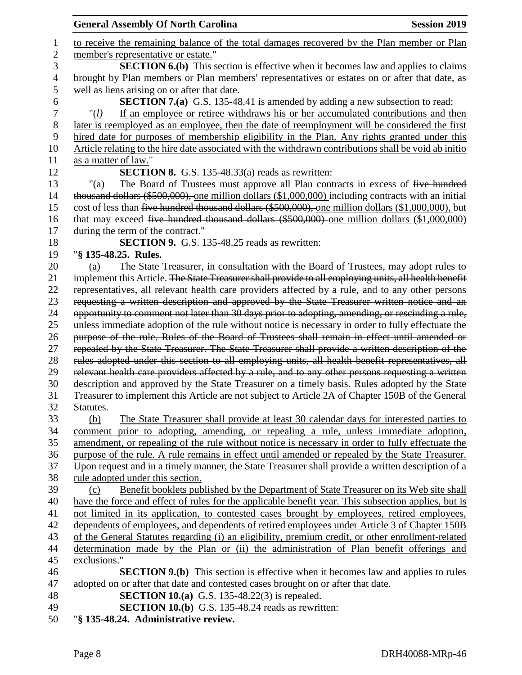| <b>General Assembly Of North Carolina</b><br><b>Session 2019</b>                                                                                                                               |
|------------------------------------------------------------------------------------------------------------------------------------------------------------------------------------------------|
| to receive the remaining balance of the total damages recovered by the Plan member or Plan                                                                                                     |
| member's representative or estate."                                                                                                                                                            |
| <b>SECTION 6.(b)</b> This section is effective when it becomes law and applies to claims                                                                                                       |
| brought by Plan members or Plan members' representatives or estates on or after that date, as                                                                                                  |
| well as liens arising on or after that date.                                                                                                                                                   |
| <b>SECTION 7.(a)</b> G.S. 135-48.41 is amended by adding a new subsection to read:                                                                                                             |
| If an employee or retiree withdraws his or her accumulated contributions and then<br>" $(l)$                                                                                                   |
| later is reemployed as an employee, then the date of reemployment will be considered the first                                                                                                 |
| hired date for purposes of membership eligibility in the Plan. Any rights granted under this                                                                                                   |
| Article relating to the hire date associated with the withdrawn contributions shall be void ab initio                                                                                          |
| as a matter of law."                                                                                                                                                                           |
| <b>SECTION 8.</b> G.S. 135-48.33(a) reads as rewritten:                                                                                                                                        |
| The Board of Trustees must approve all Plan contracts in excess of five hundred<br>" $(a)$                                                                                                     |
| thousand dollars $(\$500,000)$ , one million dollars $(\$1,000,000)$ including contracts with an initial                                                                                       |
| cost of less than five hundred thousand dollars (\$500,000), one million dollars (\$1,000,000), but                                                                                            |
| that may exceed five hundred thousand dollars $(\$500,000)$ one million dollars $(\$1,000,000)$                                                                                                |
| during the term of the contract."                                                                                                                                                              |
| <b>SECTION 9.</b> G.S. 135-48.25 reads as rewritten:                                                                                                                                           |
| "§ 135-48.25. Rules.                                                                                                                                                                           |
| The State Treasurer, in consultation with the Board of Trustees, may adopt rules to<br>(a)                                                                                                     |
| implement this Article. The State Treasurer shall provide to all employing units, all health benefit                                                                                           |
| representatives, all relevant health care providers affected by a rule, and to any other persons                                                                                               |
| requesting a written description and approved by the State Treasurer written notice and an                                                                                                     |
| opportunity to comment not later than 30 days prior to adopting, amending, or rescinding a rule,                                                                                               |
| unless immediate adoption of the rule without notice is necessary in order to fully effectuate the                                                                                             |
| purpose of the rule. Rules of the Board of Trustees shall remain in effect until amended or<br>repealed by the State Treasurer. The State Treasurer shall provide a written description of the |
| rules adopted under this section to all employing units, all health benefit representatives, all                                                                                               |
| relevant health care providers affected by a rule, and to any other persons requesting a written                                                                                               |
| description and approved by the State Treasurer on a timely basis. Rules adopted by the State                                                                                                  |
| Treasurer to implement this Article are not subject to Article 2A of Chapter 150B of the General                                                                                               |
| Statutes.                                                                                                                                                                                      |
| (b)<br><u>The State Treasurer shall provide at least 30 calendar days for interested parties to</u>                                                                                            |
| comment prior to adopting, amending, or repealing a rule, unless immediate adoption,                                                                                                           |
| amendment, or repealing of the rule without notice is necessary in order to fully effectuate the                                                                                               |
| purpose of the rule. A rule remains in effect until amended or repealed by the State Treasurer.                                                                                                |
| Upon request and in a timely manner, the State Treasurer shall provide a written description of a                                                                                              |
| rule adopted under this section.                                                                                                                                                               |
| Benefit booklets published by the Department of State Treasurer on its Web site shall<br>(c)                                                                                                   |
| have the force and effect of rules for the applicable benefit year. This subsection applies, but is                                                                                            |
| not limited in its application, to contested cases brought by employees, retired employees,                                                                                                    |
| dependents of employees, and dependents of retired employees under Article 3 of Chapter 150B                                                                                                   |
| of the General Statutes regarding (i) an eligibility, premium credit, or other enrollment-related                                                                                              |
| determination made by the Plan or (ii) the administration of Plan benefit offerings and                                                                                                        |
| exclusions."                                                                                                                                                                                   |
| <b>SECTION 9.(b)</b> This section is effective when it becomes law and applies to rules                                                                                                        |
| adopted on or after that date and contested cases brought on or after that date.                                                                                                               |
| <b>SECTION 10.(a)</b> G.S. 135-48.22(3) is repealed.                                                                                                                                           |
| <b>SECTION 10.(b)</b> G.S. 135-48.24 reads as rewritten:                                                                                                                                       |
| "§ 135-48.24. Administrative review.                                                                                                                                                           |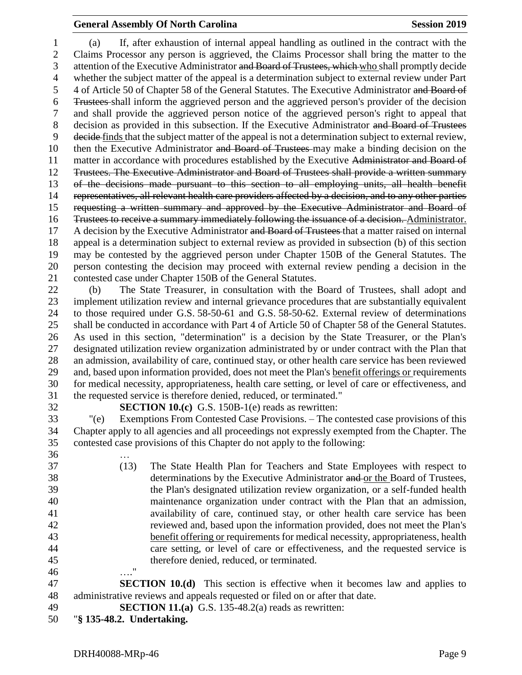### **General Assembly Of North Carolina Session 2019 Session 2019**

 (a) If, after exhaustion of internal appeal handling as outlined in the contract with the Claims Processor any person is aggrieved, the Claims Processor shall bring the matter to the 3 attention of the Executive Administrator and Board of Trustees, which who shall promptly decide whether the subject matter of the appeal is a determination subject to external review under Part 4 of Article 50 of Chapter 58 of the General Statutes. The Executive Administrator and Board of Trustees shall inform the aggrieved person and the aggrieved person's provider of the decision and shall provide the aggrieved person notice of the aggrieved person's right to appeal that decision as provided in this subsection. If the Executive Administrator and Board of Trustees decide finds that the subject matter of the appeal is not a determination subject to external review, 10 then the Executive Administrator and Board of Trustees may make a binding decision on the 11 matter in accordance with procedures established by the Executive Administrator and Board of Trustees. The Executive Administrator and Board of Trustees shall provide a written summary of the decisions made pursuant to this section to all employing units, all health benefit representatives, all relevant health care providers affected by a decision, and to any other parties requesting a written summary and approved by the Executive Administrator and Board of Trustees to receive a summary immediately following the issuance of a decision. Administrator. 17 A decision by the Executive Administrator and Board of Trustees that a matter raised on internal appeal is a determination subject to external review as provided in subsection (b) of this section may be contested by the aggrieved person under Chapter 150B of the General Statutes. The person contesting the decision may proceed with external review pending a decision in the contested case under Chapter 150B of the General Statutes.

 (b) The State Treasurer, in consultation with the Board of Trustees, shall adopt and implement utilization review and internal grievance procedures that are substantially equivalent to those required under G.S. 58-50-61 and G.S. 58-50-62. External review of determinations shall be conducted in accordance with Part 4 of Article 50 of Chapter 58 of the General Statutes. As used in this section, "determination" is a decision by the State Treasurer, or the Plan's designated utilization review organization administrated by or under contract with the Plan that an admission, availability of care, continued stay, or other health care service has been reviewed and, based upon information provided, does not meet the Plan's benefit offerings or requirements for medical necessity, appropriateness, health care setting, or level of care or effectiveness, and the requested service is therefore denied, reduced, or terminated."

**SECTION 10.(c)** G.S. 150B-1(e) reads as rewritten:

 "(e) Exemptions From Contested Case Provisions. – The contested case provisions of this Chapter apply to all agencies and all proceedings not expressly exempted from the Chapter. The contested case provisions of this Chapter do not apply to the following:

 … (13) The State Health Plan for Teachers and State Employees with respect to 38 determinations by the Executive Administrator and or the Board of Trustees, the Plan's designated utilization review organization, or a self-funded health maintenance organization under contract with the Plan that an admission, availability of care, continued stay, or other health care service has been reviewed and, based upon the information provided, does not meet the Plan's benefit offering or requirements for medical necessity, appropriateness, health care setting, or level of care or effectiveness, and the requested service is therefore denied, reduced, or terminated. …."

 **SECTION 10.(d)** This section is effective when it becomes law and applies to administrative reviews and appeals requested or filed on or after that date.

- **SECTION 11.(a)** G.S. 135-48.2(a) reads as rewritten:
- "**§ 135-48.2. Undertaking.**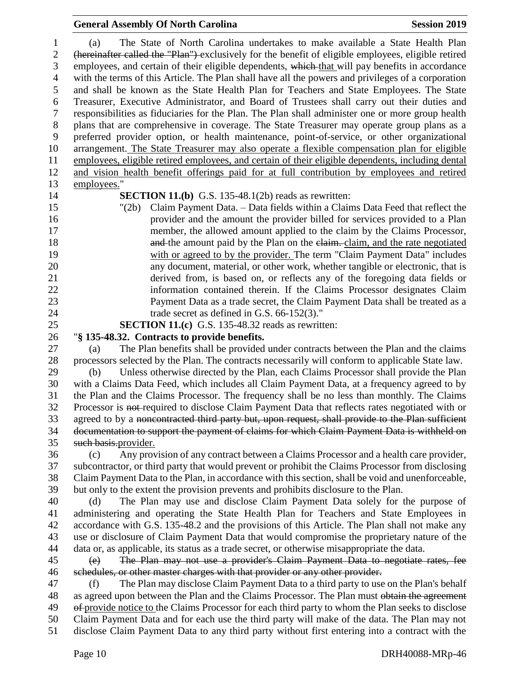# **General Assembly Of North Carolina Session 2019**

| 1              | The State of North Carolina undertakes to make available a State Health Plan<br>(a)                 |
|----------------|-----------------------------------------------------------------------------------------------------|
| $\overline{2}$ | (hereinafter called the "Plan") exclusively for the benefit of eligible employees, eligible retired |
| 3              | employees, and certain of their eligible dependents, which that will pay benefits in accordance     |
| $\overline{4}$ | with the terms of this Article. The Plan shall have all the powers and privileges of a corporation  |
| 5              | and shall be known as the State Health Plan for Teachers and State Employees. The State             |
| 6              | Treasurer, Executive Administrator, and Board of Trustees shall carry out their duties and          |
| $\tau$         | responsibilities as fiduciaries for the Plan. The Plan shall administer one or more group health    |
| $8\,$          | plans that are comprehensive in coverage. The State Treasurer may operate group plans as a          |
| 9              | preferred provider option, or health maintenance, point-of-service, or other organizational         |
| 10             | arrangement. The State Treasurer may also operate a flexible compensation plan for eligible         |
| 11             | employees, eligible retired employees, and certain of their eligible dependents, including dental   |
| 12             | and vision health benefit offerings paid for at full contribution by employees and retired          |
| 13             | employees."                                                                                         |
| 14             | <b>SECTION 11.(b)</b> G.S. 135-48.1(2b) reads as rewritten:                                         |
| 15             | Claim Payment Data. – Data fields within a Claims Data Feed that reflect the<br>" $(2b)$            |
| 16             | provider and the amount the provider billed for services provided to a Plan                         |
| 17             | member, the allowed amount applied to the claim by the Claims Processor,                            |
| 18             | and the amount paid by the Plan on the elaim. claim, and the rate negotiated                        |
| 19             | with or agreed to by the provider. The term "Claim Payment Data" includes                           |
| 20             | any document, material, or other work, whether tangible or electronic, that is                      |
| 21             | derived from, is based on, or reflects any of the foregoing data fields or                          |
| 22             | information contained therein. If the Claims Processor designates Claim                             |
| 23             | Payment Data as a trade secret, the Claim Payment Data shall be treated as a                        |
| 24             | trade secret as defined in G.S. $66-152(3)$ ."                                                      |
| 25             | <b>SECTION 11.(c)</b> G.S. 135-48.32 reads as rewritten:                                            |
| 26             | "§ 135-48.32. Contracts to provide benefits.                                                        |
| 27             | The Plan benefits shall be provided under contracts between the Plan and the claims<br>(a)          |
| 28             | processors selected by the Plan. The contracts necessarily will conform to applicable State law.    |
| 29             | Unless otherwise directed by the Plan, each Claims Processor shall provide the Plan<br>(b)          |
| 30             | with a Claims Data Feed, which includes all Claim Payment Data, at a frequency agreed to by         |
| 31             | the Plan and the Claims Processor. The frequency shall be no less than monthly. The Claims          |
| 32             | Processor is not-required to disclose Claim Payment Data that reflects rates negotiated with or     |
| 33             | agreed to by a noncontracted third party but, upon request, shall provide to the Plan sufficient    |
| 34             | documentation to support the payment of claims for which Claim Payment Data is withheld on          |
| 35             | such basis.provider.                                                                                |
| 36             | Any provision of any contract between a Claims Processor and a health care provider,<br>(c)         |
| 37             | subcontractor, or third party that would prevent or prohibit the Claims Processor from disclosing   |
| 38             | Claim Payment Data to the Plan, in accordance with this section, shall be void and unenforceable,   |
| 39             | but only to the extent the provision prevents and prohibits disclosure to the Plan.                 |
| 40             | The Plan may use and disclose Claim Payment Data solely for the purpose of<br>(d)                   |
| 41             | administering and operating the State Health Plan for Teachers and State Employees in               |
| 42             | accordance with G.S. 135-48.2 and the provisions of this Article. The Plan shall not make any       |
| 43             | use or disclosure of Claim Payment Data that would compromise the proprietary nature of the         |
| 44             | data or, as applicable, its status as a trade secret, or otherwise misappropriate the data.         |
| 45             | The Plan may not use a provider's Claim Payment Data to negotiate rates, fee<br>(e)                 |
| 46             | schedules, or other master charges with that provider or any other provider.                        |
| 47             | The Plan may disclose Claim Payment Data to a third party to use on the Plan's behalf<br>(f)        |
| 48             | as agreed upon between the Plan and the Claims Processor. The Plan must obtain the agreement        |
| 49             | of provide notice to the Claims Processor for each third party to whom the Plan seeks to disclose   |
| 50             | Claim Payment Data and for each use the third party will make of the data. The Plan may not         |
| 51             | disclose Claim Payment Data to any third party without first entering into a contract with the      |